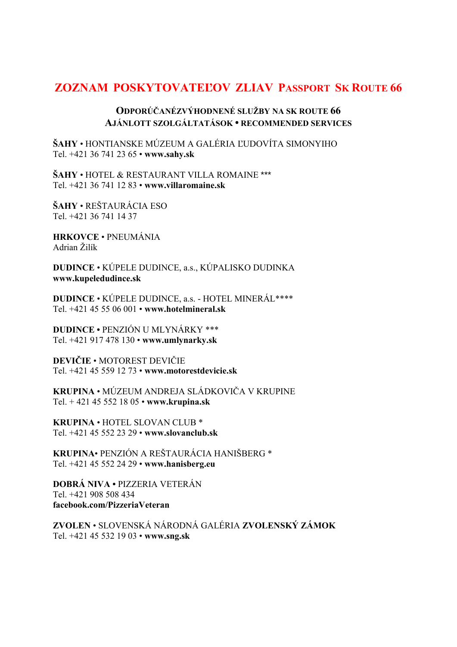## **ZOZNAM POSKYTOVATEĽOV ZLIAV PASSPORT SK ROUTE 66**

## **ODPORÚČANÉZVÝHODNENÉ SLUŽBY NA SK ROUTE 66 AJÁNLOTT SZOLGÁLTATÁSOK • RECOMMENDED SERVICES**

**ŠAHY** • HONTIANSKE MÚZEUM A GALÉRIA ĽUDOVÍTA SIMONYIHO Tel. +421 36 741 23 65 • **www.sahy.sk** 

**ŠAHY** • HOTEL & RESTAURANT VILLA ROMAINE \*\*\* Tel. +421 36 741 12 83 • **www.villaromaine.sk** 

**ŠAHY** • REŠTAURÁCIA ESO Tel. +421 36 741 14 37

**HRKOVCE** • PNEUMÁNIA Adrian Žilík

**DUDINCE** • KÚPELE DUDINCE, a.s., KÚPALISKO DUDINKA **www.kupeledudince.sk** 

**DUDINCE** • KÚPELE DUDINCE, a.s. - HOTEL MINERÁL\*\*\*\* Tel. +421 45 55 06 001 • **www.hotelmineral.sk** 

**DUDINCE •** PENZIÓN U MLYNÁRKY \*\*\* Tel. +421 917 478 130 • **www.umlynarky.sk** 

**DEVIČIE** • MOTOREST DEVIČIE Tel. +421 45 559 12 73 • **www.motorestdevicie.sk** 

**KRUPINA** • MÚZEUM ANDREJA SLÁDKOVIČA V KRUPINE Tel. + 421 45 552 18 05 • **www.krupina.sk** 

**KRUPINA** • HOTEL SLOVAN CLUB \* Tel. +421 45 552 23 29 • **www.slovanclub.sk** 

**KRUPINA**• PENZIÓN A REŠTAURÁCIA HANIŠBERG \* Tel. +421 45 552 24 29 • **www.hanisberg.eu** 

**DOBRÁ NIVA •** PIZZERIA VETERÁN Tel. +421 908 508 434 **facebook.com/PizzeriaVeteran** 

**ZVOLEN** • SLOVENSKÁ NÁRODNÁ GALÉRIA **ZVOLENSKÝ ZÁMOK**  Tel. +421 45 532 19 03 • **www.sng.sk**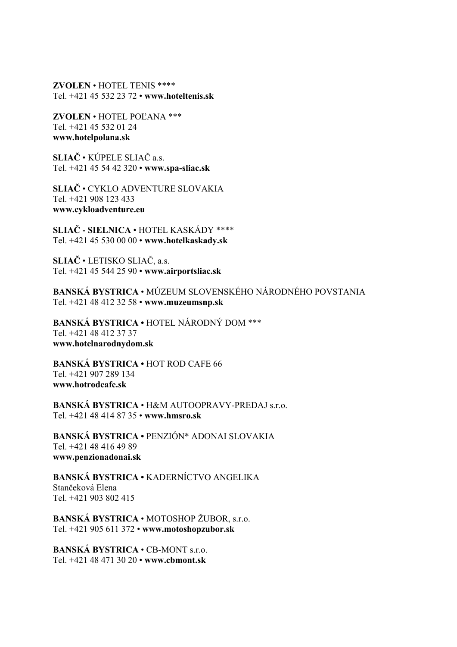**ZVOLEN** • HOTEL TENIS \*\*\*\* Tel. +421 45 532 23 72 • **www.hoteltenis.sk** 

**ZVOLEN** • HOTEL POĽANA \*\*\* Tel. +421 45 532 01 24 **www.hotelpolana.sk** 

**SLIAČ** • KÚPELE SLIAČ a.s. Tel. +421 45 54 42 320 • **www.spa-sliac.sk** 

**SLIAČ** • CYKLO ADVENTURE SLOVAKIA Tel. +421 908 123 433 **www.cykloadventure.eu** 

**SLIAČ - SIELNICA** • HOTEL KASKÁDY \*\*\*\* Tel. +421 45 530 00 00 • **www.hotelkaskady.sk** 

**SLIAČ** • LETISKO SLIAČ, a.s. Tel. +421 45 544 25 90 • **www.airportsliac.sk** 

**BANSKÁ BYSTRICA** • MÚZEUM SLOVENSKÉHO NÁRODNÉHO POVSTANIA Tel. +421 48 412 32 58 • **www.muzeumsnp.sk** 

**BANSKÁ BYSTRICA •** HOTEL NÁRODNÝ DOM \*\*\* Tel. +421 48 412 37 37 **www.hotelnarodnydom.sk** 

**BANSKÁ BYSTRICA •** HOT ROD CAFE 66 Tel. +421 907 289 134 **www.hotrodcafe.sk** 

**BANSKÁ BYSTRICA** • H&M AUTOOPRAVY-PREDAJ s.r.o. Tel. +421 48 414 87 35 • **www.hmsro.sk** 

**BANSKÁ BYSTRICA •** PENZIÓN\* ADONAI SLOVAKIA Tel. +421 48 416 49 89 **www.penzionadonai.sk** 

**BANSKÁ BYSTRICA •** KADERNÍCTVO ANGELIKA Stančeková Elena Tel. +421 903 802 415

**BANSKÁ BYSTRICA** • MOTOSHOP ŽUBOR, s.r.o. Tel. +421 905 611 372 • **www.motoshopzubor.sk** 

**BANSKÁ BYSTRICA** • CB-MONT s.r.o. Tel. +421 48 471 30 20 • **www.cbmont.sk**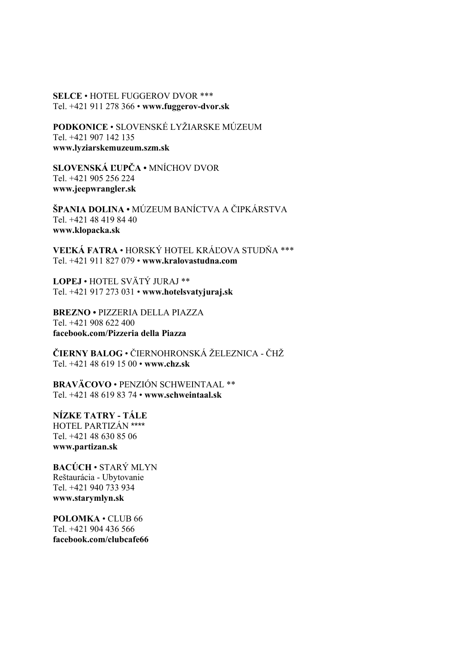**SELCE** • HOTEL FUGGEROV DVOR \*\*\* Tel. +421 911 278 366 • **www.fuggerov-dvor.sk** 

**PODKONICE** • SLOVENSKÉ LYŽIARSKE MÚZEUM Tel. +421 907 142 135 **www.lyziarskemuzeum.szm.sk** 

**SLOVENSKÁ ĽUPČA •** MNÍCHOV DVOR Tel. +421 905 256 224 **www.jeepwrangler.sk** 

**ŠPANIA DOLINA •** MÚZEUM BANÍCTVA A ČIPKÁRSTVA Tel. +421 48 419 84 40 **www.klopacka.sk** 

**VEĽKÁ FATRA** • HORSKÝ HOTEL KRÁĽOVA STUDŇA \*\*\* Tel. +421 911 827 079 • **www.kralovastudna.com** 

**LOPEJ** • HOTEL SVÄTÝ JURAJ \*\* Tel. +421 917 273 031 • **www.hotelsvatyjuraj.sk** 

**BREZNO •** PIZZERIA DELLA PIAZZA Tel. +421 908 622 400 **facebook.com/Pizzeria della Piazza** 

**ČIERNY BALOG** • ČIERNOHRONSKÁ ŽELEZNICA - ČHŽ Tel. +421 48 619 15 00 • **www.chz.sk** 

**BRAVÄCOVO** • PENZIÓN SCHWEINTAAL \*\* Tel. +421 48 619 83 74 • **www.schweintaal.sk** 

**NÍZKE TATRY - TÁLE**  HOTEL PARTIZÁN \*\*\*\* Tel. +421 48 630 85 06 **www.partizan.sk** 

**BACÚCH** • STARÝ MLYN Reštaurácia - Ubytovanie Tel. +421 940 733 934 **www.starymlyn.sk** 

**POLOMKA** • CLUB 66 Tel. +421 904 436 566 **facebook.com/clubcafe66**